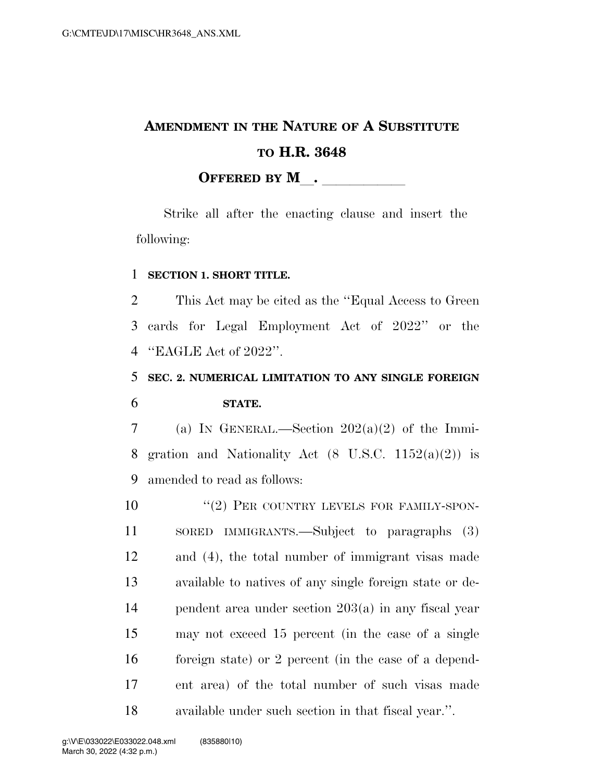# **AMENDMENT IN THE NATURE OF A SUBSTITUTE TO H.R. 3648 OFFERED BY M**.

Strike all after the enacting clause and insert the following:

#### 1 **SECTION 1. SHORT TITLE.**

2 This Act may be cited as the ''Equal Access to Green 3 cards for Legal Employment Act of 2022'' or the 4 ''EAGLE Act of 2022''.

## 5 **SEC. 2. NUMERICAL LIMITATION TO ANY SINGLE FOREIGN**  6 **STATE.**

7 (a) IN GENERAL.—Section  $202(a)(2)$  of the Immi-8 gration and Nationality Act  $(8 \text{ U.S.C. } 1152(a)(2))$  is 9 amended to read as follows:

 $(2)$  PER COUNTRY LEVELS FOR FAMILY-SPON- SORED IMMIGRANTS.—Subject to paragraphs (3) and (4), the total number of immigrant visas made available to natives of any single foreign state or de- pendent area under section 203(a) in any fiscal year may not exceed 15 percent (in the case of a single foreign state) or 2 percent (in the case of a depend- ent area) of the total number of such visas made available under such section in that fiscal year.''.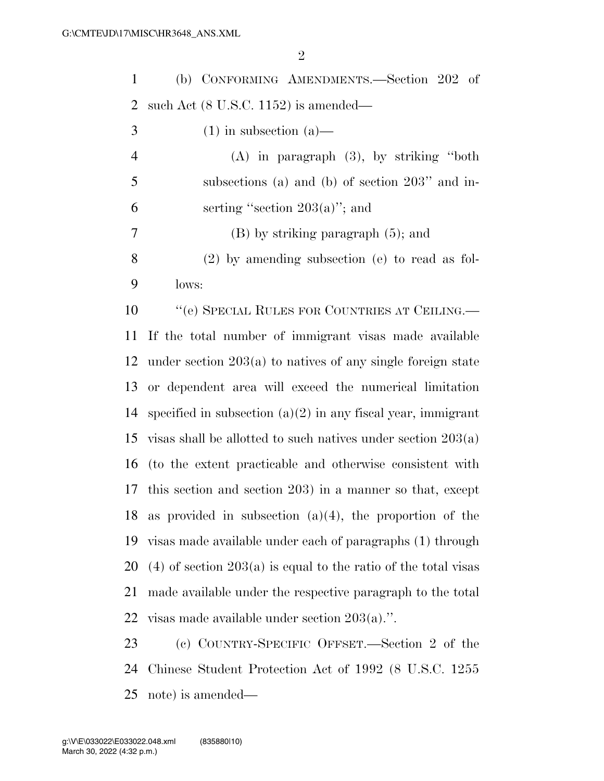(b) CONFORMING AMENDMENTS.—Section 202 of such Act (8 U.S.C. 1152) is amended—

| 3              | $(1)$ in subsection $(a)$ —                                      |
|----------------|------------------------------------------------------------------|
| $\overline{4}$ | $(A)$ in paragraph $(3)$ , by striking "both"                    |
| 5              | subsections (a) and (b) of section $203"$ and in-                |
| 6              | serting "section $203(a)$ "; and                                 |
| $\overline{7}$ | $(B)$ by striking paragraph $(5)$ ; and                          |
| 8              | $(2)$ by amending subsection (e) to read as fol-                 |
| 9              | lows:                                                            |
| 10             | "(e) SPECIAL RULES FOR COUNTRIES AT CEILING.—                    |
|                | 11 If the total number of immigrant visas made available         |
|                | 12 under section $203(a)$ to natives of any single foreign state |
|                | 13 or dependent area will exceed the numerical limitation        |

14 specified in subsection  $(a)(2)$  in any fiscal year, immigrant 15 visas shall be allotted to such natives under section  $203(a)$  (to the extent practicable and otherwise consistent with this section and section 203) in a manner so that, except as provided in subsection (a)(4), the proportion of the visas made available under each of paragraphs (1) through 20 (4) of section  $203(a)$  is equal to the ratio of the total visas made available under the respective paragraph to the total visas made available under section 203(a).''.

 (c) COUNTRY-SPECIFIC OFFSET.—Section 2 of the Chinese Student Protection Act of 1992 (8 U.S.C. 1255 note) is amended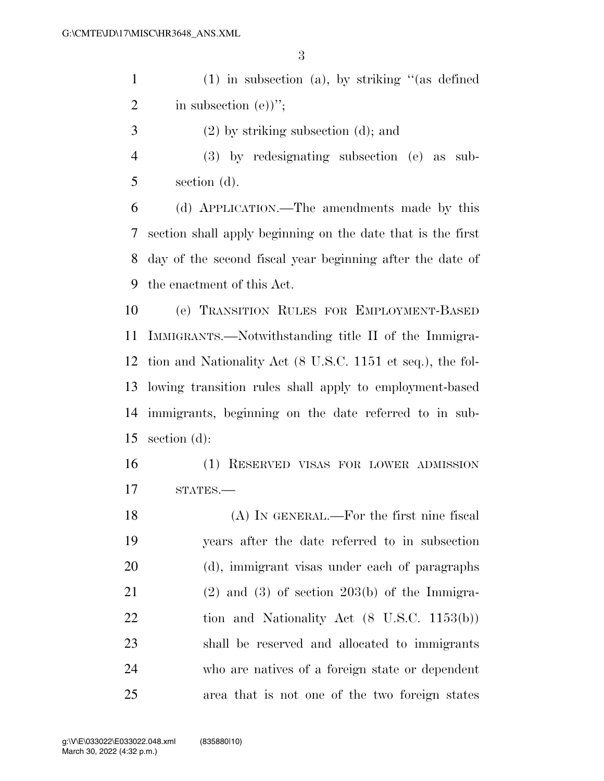(1) in subsection (a), by striking ''(as defined 2 in subsection  $(e)$ <sup>"</sup>;

- (2) by striking subsection (d); and
- (3) by redesignating subsection (e) as sub-section (d).

 (d) APPLICATION.—The amendments made by this section shall apply beginning on the date that is the first day of the second fiscal year beginning after the date of the enactment of this Act.

 (e) TRANSITION RULES FOR EMPLOYMENT-BASED IMMIGRANTS.—Notwithstanding title II of the Immigra- tion and Nationality Act (8 U.S.C. 1151 et seq.), the fol- lowing transition rules shall apply to employment-based immigrants, beginning on the date referred to in sub-section (d):

 (1) RESERVED VISAS FOR LOWER ADMISSION 17 STATES.—

18 (A) IN GENERAL.—For the first nine fiscal years after the date referred to in subsection (d), immigrant visas under each of paragraphs 21 (2) and (3) of section 203(b) of the Immigra-22 tion and Nationality Act (8 U.S.C. 1153(b)) shall be reserved and allocated to immigrants who are natives of a foreign state or dependent area that is not one of the two foreign states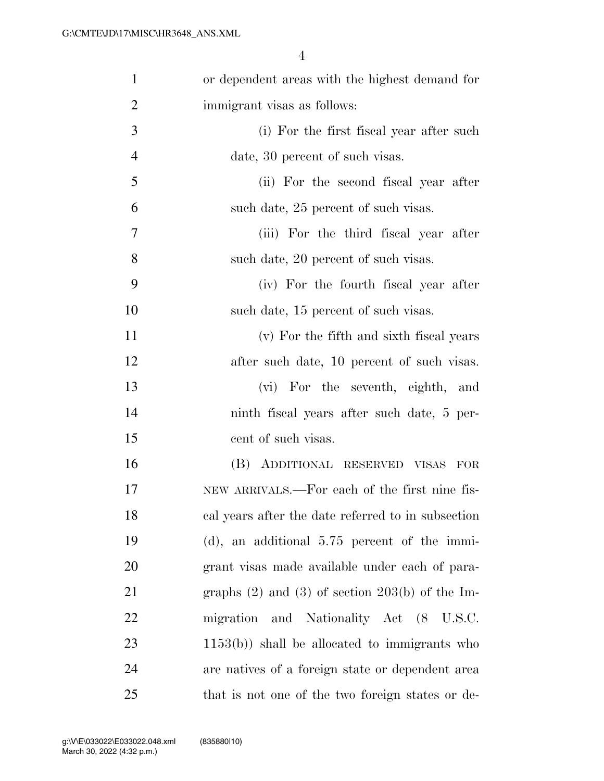| $\mathbf{1}$   | or dependent areas with the highest demand for        |
|----------------|-------------------------------------------------------|
| $\overline{2}$ | immigrant visas as follows:                           |
| 3              | (i) For the first fiscal year after such              |
| $\overline{4}$ | date, 30 percent of such visas.                       |
| 5              | (ii) For the second fiscal year after                 |
| 6              | such date, 25 percent of such visas.                  |
| 7              | (iii) For the third fiscal year after                 |
| 8              | such date, 20 percent of such visas.                  |
| 9              | (iv) For the fourth fiscal year after                 |
| 10             | such date, 15 percent of such visas.                  |
| 11             | (v) For the fifth and sixth fiscal years              |
| 12             | after such date, 10 percent of such visas.            |
| 13             | (vi) For the seventh, eighth, and                     |
| 14             | ninth fiscal years after such date, 5 per-            |
| 15             | cent of such visas.                                   |
| 16             | (B) ADDITIONAL RESERVED VISAS<br>$_{\rm FOR}$         |
| 17             | NEW ARRIVALS.—For each of the first nine fis-         |
| 18             | cal years after the date referred to in subsection    |
| 19             | $(d)$ , an additional 5.75 percent of the immi-       |
| 20             | grant visas made available under each of para-        |
| 21             | graphs $(2)$ and $(3)$ of section $203(b)$ of the Im- |
| 22             | migration and Nationality Act (8 U.S.C.               |
| 23             | $(1153(b))$ shall be allocated to immigrants who      |
| 24             | are natives of a foreign state or dependent area      |
| 25             | that is not one of the two foreign states or de-      |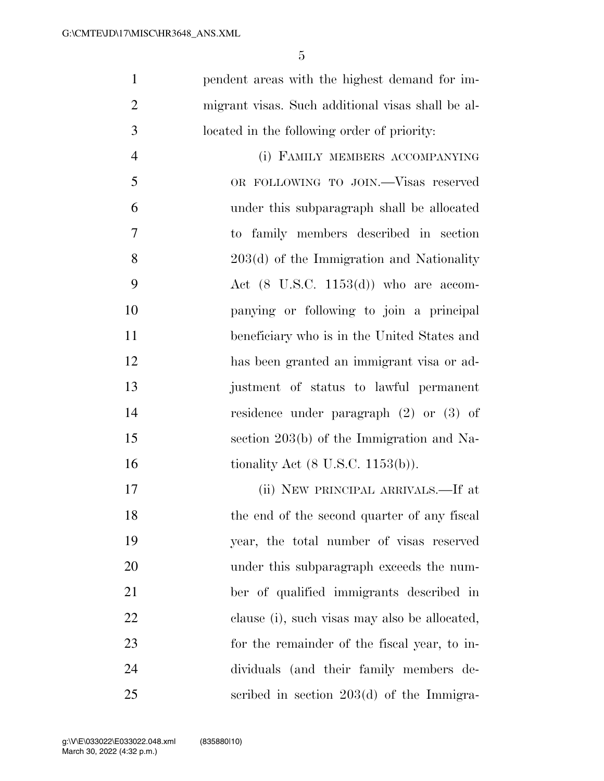pendent areas with the highest demand for im- migrant visas. Such additional visas shall be al- located in the following order of priority: (i) FAMILY MEMBERS ACCOMPANYING OR FOLLOWING TO JOIN.—Visas reserved under this subparagraph shall be allocated

 to family members described in section 203(d) of the Immigration and Nationality 9 Act  $(8 \text{ U.S.C. } 1153(\text{d}))$  who are accom- panying or following to join a principal beneficiary who is in the United States and has been granted an immigrant visa or ad- justment of status to lawful permanent residence under paragraph (2) or (3) of section 203(b) of the Immigration and Na-16 tionality Act (8 U.S.C. 1153(b)).

 (ii) NEW PRINCIPAL ARRIVALS.—If at 18 the end of the second quarter of any fiscal year, the total number of visas reserved under this subparagraph exceeds the num- ber of qualified immigrants described in clause (i), such visas may also be allocated, for the remainder of the fiscal year, to in- dividuals (and their family members de-scribed in section 203(d) of the Immigra-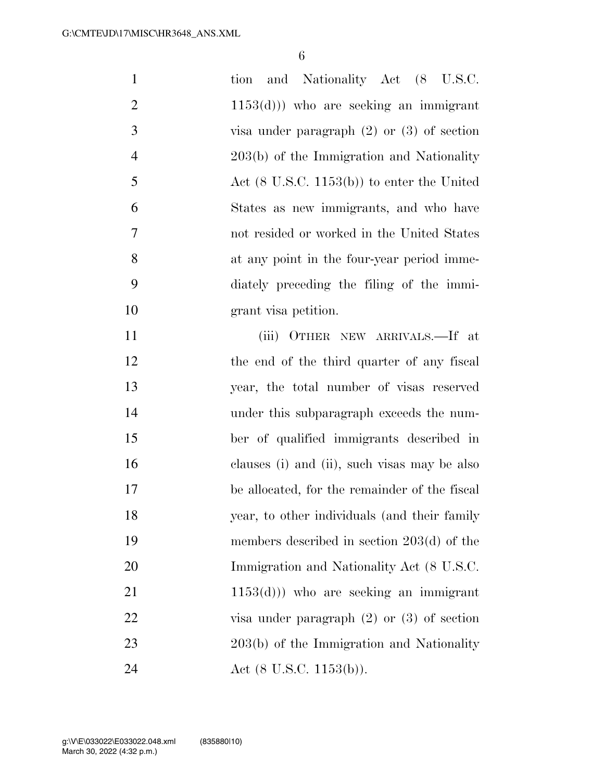| $\mathbf{1}$   | and Nationality Act (8 U.S.C.<br>tion                 |
|----------------|-------------------------------------------------------|
| $\overline{2}$ | $(1153(d)))$ who are seeking an immigrant             |
| 3              | visa under paragraph $(2)$ or $(3)$ of section        |
| $\overline{4}$ | 203(b) of the Immigration and Nationality             |
| 5              | Act $(8 \text{ U.S.C. } 1153(b))$ to enter the United |
| 6              | States as new immigrants, and who have                |
| 7              | not resided or worked in the United States            |
| 8              | at any point in the four-year period imme-            |
| 9              | diately preceding the filing of the immi-             |
| 10             | grant visa petition.                                  |
| 11             | (iii) OTHER NEW ARRIVALS.—If at                       |
| 12             | the end of the third quarter of any fiscal            |
| 13             | year, the total number of visas reserved              |
| 14             | under this subparagraph exceeds the num-              |
| 15             | ber of qualified immigrants described in              |
| 16             | clauses (i) and (ii), such visas may be also          |
| 17             | be allocated, for the remainder of the fiscal         |
| 18             | year, to other individuals (and their family          |
| 19             | members described in section $203(d)$ of the          |
| 20             | Immigration and Nationality Act (8 U.S.C.             |
| 21             | $(1153(d)))$ who are seeking an immigrant             |
| 22             | visa under paragraph $(2)$ or $(3)$ of section        |
| 23             | 203(b) of the Immigration and Nationality             |
| 24             | Act $(8 \text{ U.S.C. } 1153(b))$ .                   |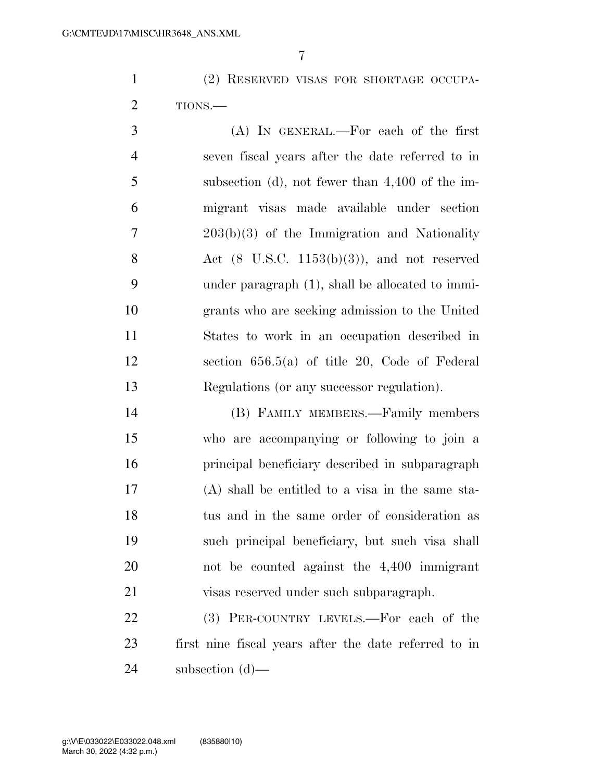(2) RESERVED VISAS FOR SHORTAGE OCCUPA-TIONS.—

 (A) IN GENERAL.—For each of the first seven fiscal years after the date referred to in subsection (d), not fewer than 4,400 of the im- migrant visas made available under section 203(b)(3) of the Immigration and Nationality 8 Act  $(8 \text{ U.S.C. } 1153(b)(3))$ , and not reserved under paragraph (1), shall be allocated to immi- grants who are seeking admission to the United States to work in an occupation described in section 656.5(a) of title 20, Code of Federal Regulations (or any successor regulation).

 (B) FAMILY MEMBERS.—Family members who are accompanying or following to join a principal beneficiary described in subparagraph (A) shall be entitled to a visa in the same sta- tus and in the same order of consideration as such principal beneficiary, but such visa shall not be counted against the 4,400 immigrant visas reserved under such subparagraph.

22 (3) PER-COUNTRY LEVELS.—For each of the first nine fiscal years after the date referred to in subsection (d)—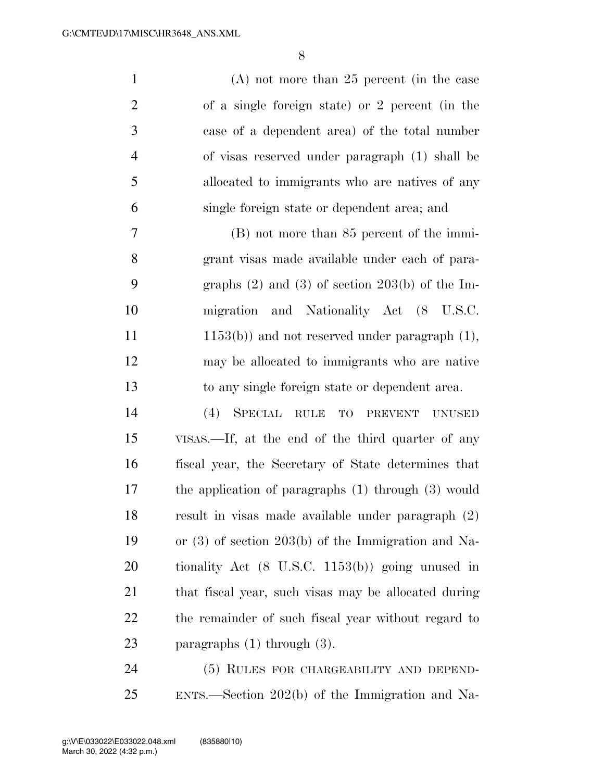(A) not more than 25 percent (in the case of a single foreign state) or 2 percent (in the case of a dependent area) of the total number of visas reserved under paragraph (1) shall be allocated to immigrants who are natives of any single foreign state or dependent area; and (B) not more than 85 percent of the immi-grant visas made available under each of para-

 graphs (2) and (3) of section 203(b) of the Im- migration and Nationality Act (8 U.S.C. 11 1153(b)) and not reserved under paragraph (1), may be allocated to immigrants who are native to any single foreign state or dependent area.

 (4) SPECIAL RULE TO PREVENT UNUSED VISAS.—If, at the end of the third quarter of any fiscal year, the Secretary of State determines that the application of paragraphs (1) through (3) would result in visas made available under paragraph (2) or (3) of section 203(b) of the Immigration and Na- tionality Act (8 U.S.C. 1153(b)) going unused in that fiscal year, such visas may be allocated during the remainder of such fiscal year without regard to paragraphs (1) through (3).

 (5) RULES FOR CHARGEABILITY AND DEPEND-ENTS.—Section 202(b) of the Immigration and Na-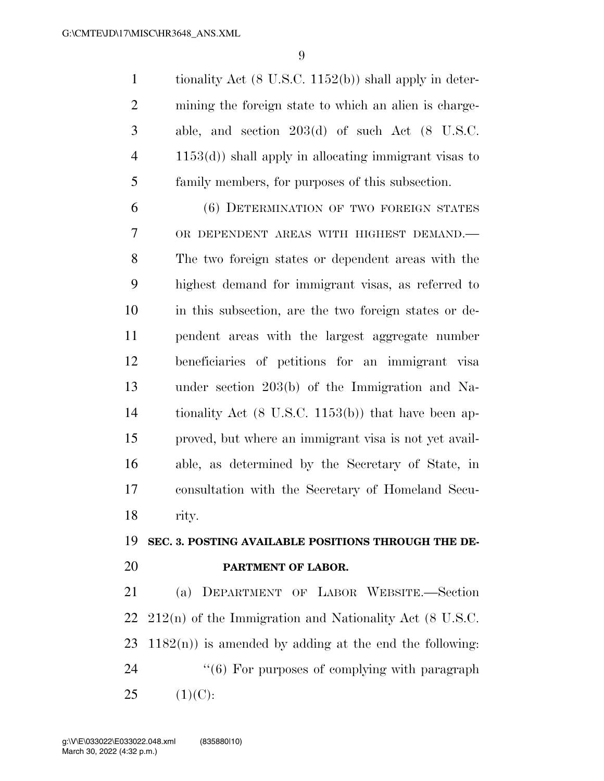tionality Act (8 U.S.C. 1152(b)) shall apply in deter- mining the foreign state to which an alien is charge- able, and section 203(d) of such Act (8 U.S.C. 1153(d)) shall apply in allocating immigrant visas to family members, for purposes of this subsection.

 (6) DETERMINATION OF TWO FOREIGN STATES OR DEPENDENT AREAS WITH HIGHEST DEMAND.— The two foreign states or dependent areas with the highest demand for immigrant visas, as referred to in this subsection, are the two foreign states or de- pendent areas with the largest aggregate number beneficiaries of petitions for an immigrant visa under section 203(b) of the Immigration and Na- tionality Act (8 U.S.C. 1153(b)) that have been ap- proved, but where an immigrant visa is not yet avail- able, as determined by the Secretary of State, in consultation with the Secretary of Homeland Secu-rity.

#### **SEC. 3. POSTING AVAILABLE POSITIONS THROUGH THE DE-PARTMENT OF LABOR.**

 (a) DEPARTMENT OF LABOR WEBSITE.—Section 212(n) of the Immigration and Nationality Act (8 U.S.C.  $1182(n)$  is amended by adding at the end the following:  $(6)$  For purposes of complying with paragraph  $25 \t(1)(C):$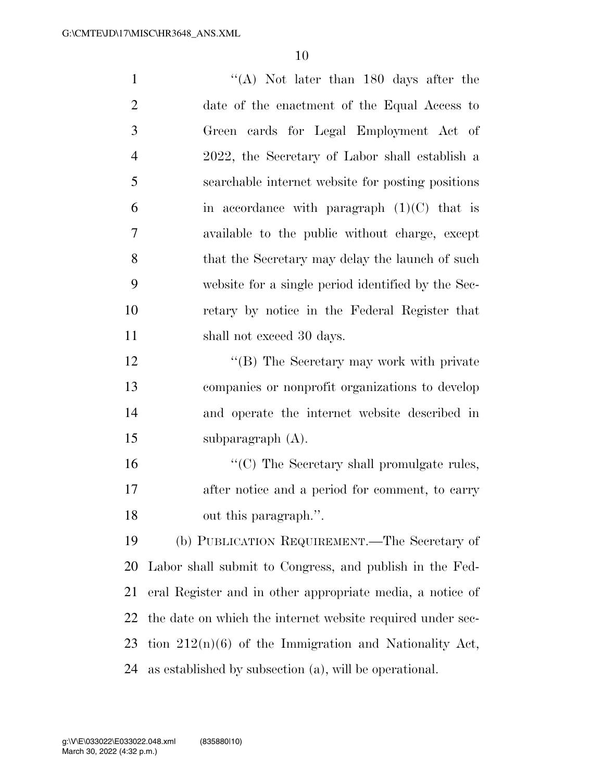| $\mathbf{1}$   | "(A) Not later than $180$ days after the                   |
|----------------|------------------------------------------------------------|
| $\overline{2}$ | date of the enactment of the Equal Access to               |
| 3              | Green cards for Legal Employment Act of                    |
| $\overline{4}$ | 2022, the Secretary of Labor shall establish a             |
| 5              | searchable internet website for posting positions          |
| 6              | in accordance with paragraph $(1)(C)$ that is              |
| 7              | available to the public without charge, except             |
| 8              | that the Secretary may delay the launch of such            |
| 9              | website for a single period identified by the Sec-         |
| 10             | retary by notice in the Federal Register that              |
| 11             | shall not exceed 30 days.                                  |
| 12             | "(B) The Secretary may work with private                   |
| 13             | companies or nonprofit organizations to develop            |
| 14             | and operate the internet website described in              |
| 15             | subparagraph $(A)$ .                                       |
| 16             | "(C) The Secretary shall promulgate rules,                 |
| 17             | after notice and a period for comment, to carry            |
| 18             | out this paragraph.".                                      |
| 19             | (b) PUBLICATION REQUIREMENT.—The Secretary of              |
| 20             | Labor shall submit to Congress, and publish in the Fed-    |
| 21             | eral Register and in other appropriate media, a notice of  |
| 22             | the date on which the internet website required under sec- |
| 23             | tion $212(n)(6)$ of the Immigration and Nationality Act,   |
|                |                                                            |

as established by subsection (a), will be operational.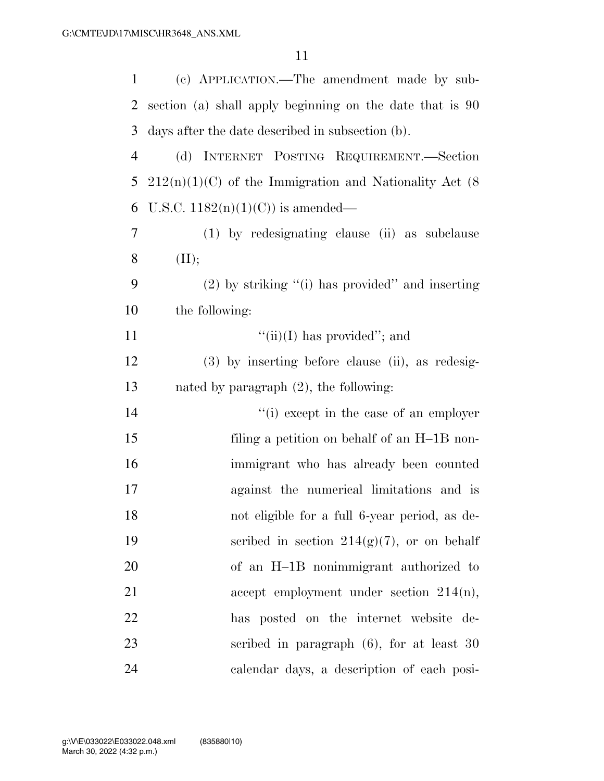| 1              | (c) APPLICATION.—The amendment made by sub-               |
|----------------|-----------------------------------------------------------|
| 2              | section (a) shall apply beginning on the date that is 90  |
| 3              | days after the date described in subsection (b).          |
| $\overline{4}$ | (d) INTERNET POSTING REQUIREMENT.—Section                 |
| 5              | $212(n)(1)(C)$ of the Immigration and Nationality Act (8) |
| 6              | U.S.C. $1182(n)(1)(C)$ is amended—                        |
| 7              | (1) by redesignating clause (ii) as subclause             |
| 8              | (II);                                                     |
| 9              | $(2)$ by striking "(i) has provided" and inserting        |
| 10             | the following:                                            |
| 11             | $``(ii)(I)$ has provided"; and                            |
| 12             | $(3)$ by inserting before clause (ii), as redesig-        |
| 13             | nated by paragraph $(2)$ , the following:                 |
| 14             | "(i) except in the case of an employer                    |
| 15             | filing a petition on behalf of an H-1B non-               |
| 16             | immigrant who has already been counted                    |
| 17             | against the numerical limitations and is                  |
| 18             | not eligible for a full 6-year period, as de-             |
| 19             | scribed in section $214(g)(7)$ , or on behalf             |
| 20             | of an H-1B nonimmigrant authorized to                     |
| 21             | accept employment under section $214(n)$ ,                |
| 22             | has posted on the internet website de-                    |
| 23             | scribed in paragraph $(6)$ , for at least 30              |
| 24             | calendar days, a description of each posi-                |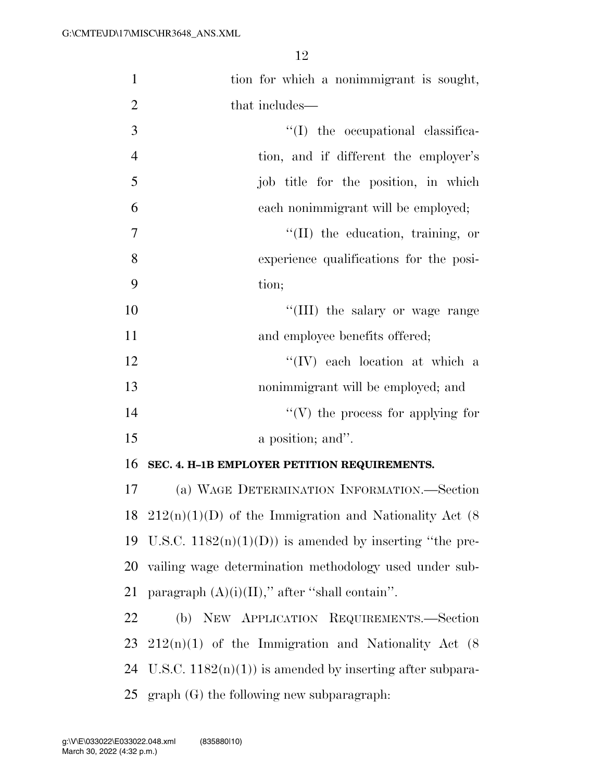| $\mathbf{1}$   | tion for which a nonimmigrant is sought,                     |
|----------------|--------------------------------------------------------------|
| $\overline{2}$ | that includes—                                               |
| 3              | $\lq\lq$ the occupational classifica-                        |
| $\overline{4}$ | tion, and if different the employer's                        |
| 5              | job title for the position, in which                         |
| 6              | each nonimmigrant will be employed;                          |
| $\overline{7}$ | $\lq\lq$ (II) the education, training, or                    |
| 8              | experience qualifications for the posi-                      |
| 9              | tion;                                                        |
| 10             | "(III) the salary or wage range                              |
| 11             | and employee benefits offered;                               |
| 12             | $``(IV)$ each location at which a                            |
| 13             | nonimmigrant will be employed; and                           |
| 14             | $\lq\lq(V)$ the process for applying for                     |
| 15             | a position; and".                                            |
| 16             | SEC. 4. H-1B EMPLOYER PETITION REQUIREMENTS.                 |
| 17             | (a) WAGE DETERMINATION INFORMATION.—Section                  |
|                | 18 $212(n)(1)(D)$ of the Immigration and Nationality Act (8) |
|                | 19 U.S.C. $1182(n)(1)(D)$ is amended by inserting "the pre-  |
| 20             | vailing wage determination methodology used under sub-       |
| 21             | paragraph $(A)(i)(II)$ ," after "shall contain".             |
| 22             | (b) NEW APPLICATION REQUIREMENTS.-Section                    |
| 23             | $212(n)(1)$ of the Immigration and Nationality Act (8)       |
| 24             | U.S.C. $1182(n)(1)$ is amended by inserting after subpara-   |
|                | 25 graph $(G)$ the following new subparagraph:               |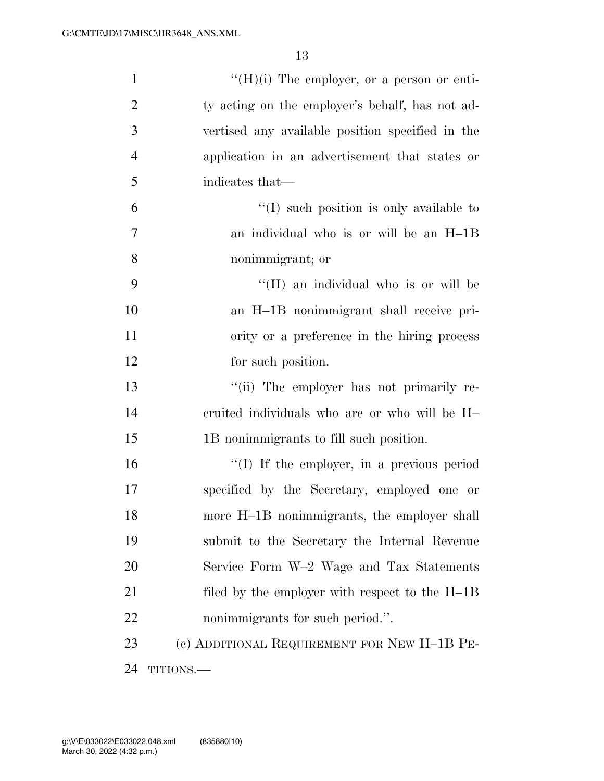| $\mathbf{1}$   | $\lq\lq(H)(i)$ The employer, or a person or enti- |
|----------------|---------------------------------------------------|
| $\overline{2}$ | ty acting on the employer's behalf, has not ad-   |
| 3              | vertised any available position specified in the  |
| $\overline{4}$ | application in an advertisement that states or    |
| 5              | indicates that—                                   |
| 6              | $\lq(1)$ such position is only available to       |
| 7              | an individual who is or will be an H-1B           |
| 8              | nonimmigrant; or                                  |
| 9              | "(II) an individual who is or will be             |
| 10             | an H-1B nonimmigrant shall receive pri-           |
| 11             | ority or a preference in the hiring process       |
| 12             | for such position.                                |
| 13             | "(ii) The employer has not primarily re-          |
| 14             | cruited individuals who are or who will be H-     |
| 15             | 1B nonimmigrants to fill such position.           |
| 16             | $\lq\lq$ . If the employer, in a previous period  |
| 17             | specified by the Secretary, employed one or       |
| 18             | more H-1B nonimmigrants, the employer shall       |
| 19             | submit to the Secretary the Internal Revenue      |
| 20             | Service Form W-2 Wage and Tax Statements          |
| 21             | filed by the employer with respect to the $H-1B$  |
| 22             | nonimmigrants for such period.".                  |
| 23             | (c) ADDITIONAL REQUIREMENT FOR NEW H-1B PE-       |
| 24             | TITIONS.-                                         |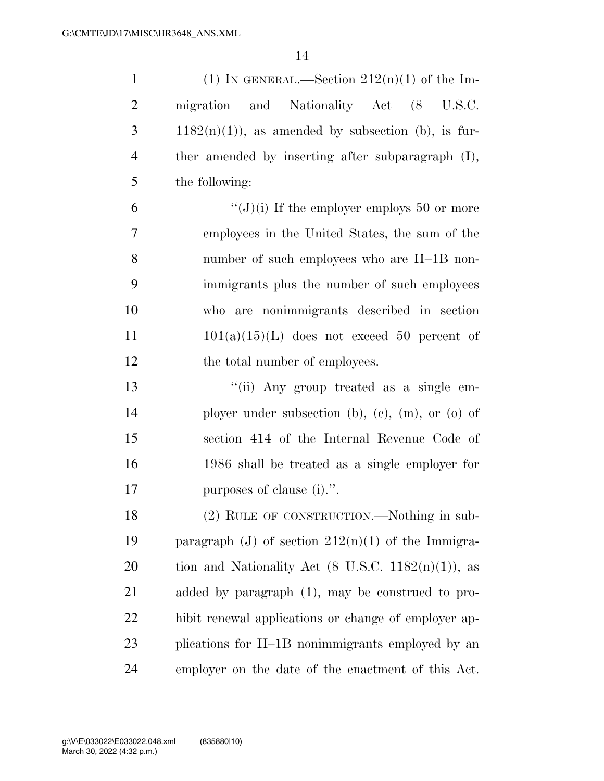| $\mathbf{1}$   | (1) IN GENERAL.—Section $212(n)(1)$ of the Im-                 |
|----------------|----------------------------------------------------------------|
| $\overline{2}$ | migration and Nationality Act (8<br>U.S.C.                     |
| 3              | $1182(n)(1)$ , as amended by subsection (b), is fur-           |
| 4              | ther amended by inserting after subparagraph (I),              |
| 5              | the following:                                                 |
| 6              | " $(J)(i)$ If the employer employs 50 or more                  |
| 7              | employees in the United States, the sum of the                 |
| 8              | number of such employees who are H-1B non-                     |
| 9              | immigrants plus the number of such employees                   |
| 10             | who are nonimmigrants described in section                     |
| 11             | $101(a)(15)(L)$ does not exceed 50 percent of                  |
| 12             | the total number of employees.                                 |
| 13             | "(ii) Any group treated as a single em-                        |
| 14             | ployer under subsection (b), (c), (m), or (o) of               |
| 15             | section 414 of the Internal Revenue Code of                    |
| 16             | 1986 shall be treated as a single employer for                 |
| 17             | purposes of clause (i).".                                      |
| 18             | (2) RULE OF CONSTRUCTION.—Nothing in sub-                      |
| 19             | paragraph (J) of section $212(n)(1)$ of the Immigra-           |
| 20             | tion and Nationality Act $(8 \text{ U.S.C. } 1182(n)(1))$ , as |
| 21             | added by paragraph $(1)$ , may be construed to pro-            |
| 22             | hibit renewal applications or change of employer ap-           |
| 23             | plications for H-1B nonimmigrants employed by an               |
| 24             | employer on the date of the enactment of this Act.             |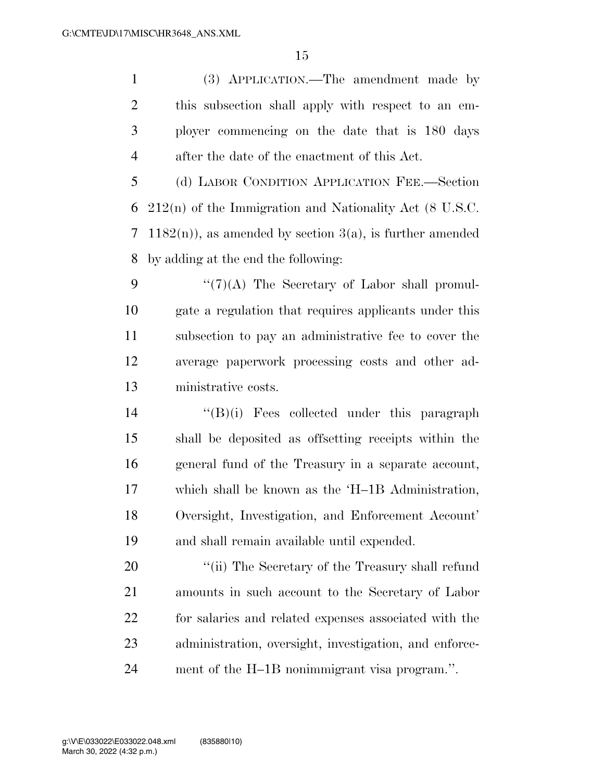(3) APPLICATION.—The amendment made by this subsection shall apply with respect to an em- ployer commencing on the date that is 180 days after the date of the enactment of this Act.

 (d) LABOR CONDITION APPLICATION FEE.—Section 212(n) of the Immigration and Nationality Act (8 U.S.C. 1182(n)), as amended by section 3(a), is further amended by adding at the end the following:

 $\frac{1}{2}$  (7)(A) The Secretary of Labor shall promul- gate a regulation that requires applicants under this subsection to pay an administrative fee to cover the average paperwork processing costs and other ad-ministrative costs.

 ''(B)(i) Fees collected under this paragraph shall be deposited as offsetting receipts within the general fund of the Treasury in a separate account, which shall be known as the 'H–1B Administration, Oversight, Investigation, and Enforcement Account' and shall remain available until expended.

 $\frac{1}{2}$  The Secretary of the Treasury shall refund amounts in such account to the Secretary of Labor for salaries and related expenses associated with the administration, oversight, investigation, and enforce-ment of the H–1B nonimmigrant visa program.''.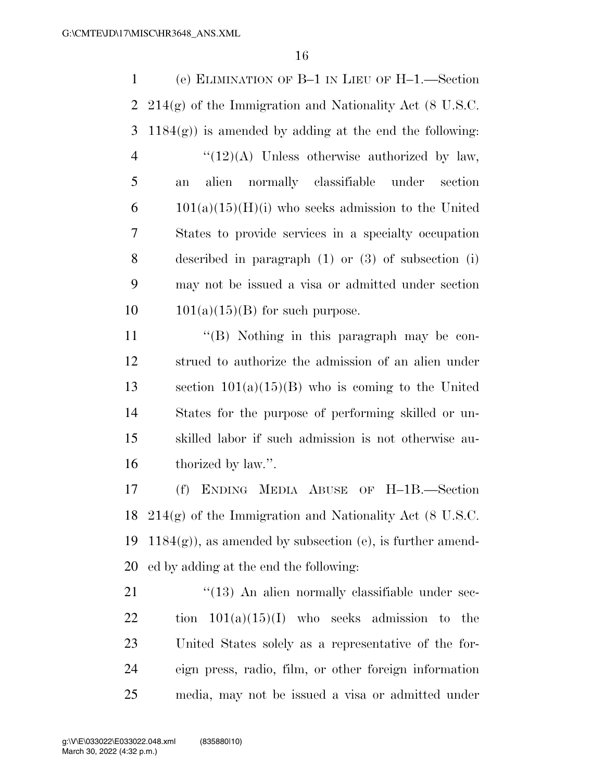(e) ELIMINATION OF B–1 IN LIEU OF H–1.—Section 214(g) of the Immigration and Nationality Act (8 U.S.C. 3 1184 $(g)$ ) is amended by adding at the end the following:  $\frac{((12)(A)}{(\text{12})(A)}$  Unless otherwise authorized by law, an alien normally classifiable under section  $6 \qquad 101(a)(15)(H)(i)$  who seeks admission to the United States to provide services in a specialty occupation described in paragraph (1) or (3) of subsection (i) may not be issued a visa or admitted under section  $10 \qquad 101(a)(15)(B)$  for such purpose.

11 ''(B) Nothing in this paragraph may be con-12 strued to authorize the admission of an alien under 13 section  $101(a)(15)(B)$  who is coming to the United 14 States for the purpose of performing skilled or un-15 skilled labor if such admission is not otherwise au-16 thorized by law.".

 (f) ENDING MEDIA ABUSE OF H–1B.—Section 214(g) of the Immigration and Nationality Act (8 U.S.C. 19 1184 $(g)$ , as amended by subsection (e), is further amend-ed by adding at the end the following:

21 ''(13) An alien normally classifiable under sec-22 tion  $101(a)(15)(I)$  who seeks admission to the 23 United States solely as a representative of the for-24 eign press, radio, film, or other foreign information 25 media, may not be issued a visa or admitted under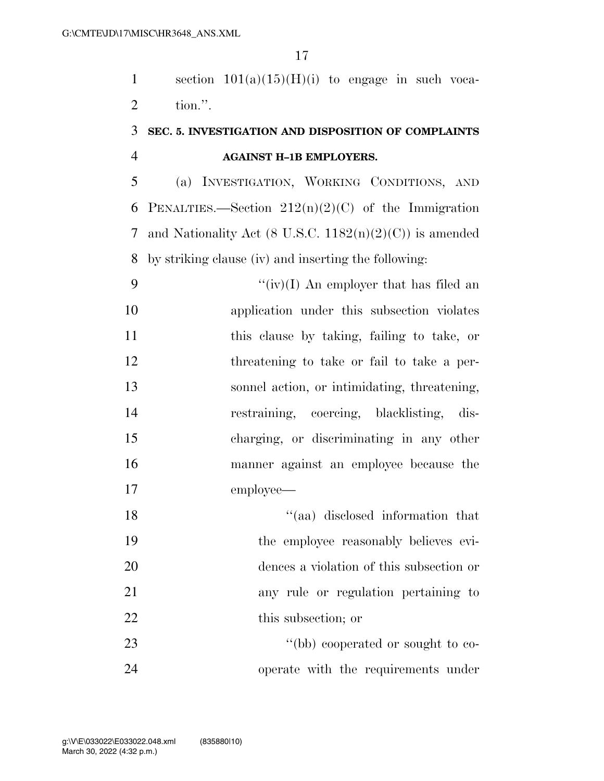1 section  $101(a)(15)(H)(i)$  to engage in such voca-tion.''.

### **SEC. 5. INVESTIGATION AND DISPOSITION OF COMPLAINTS AGAINST H–1B EMPLOYERS.**

 (a) INVESTIGATION, WORKING CONDITIONS, AND 6 PENALTIES.—Section  $212(n)(2)(C)$  of the Immigration and Nationality Act (8 U.S.C. 1182(n)(2)(C)) is amended by striking clause (iv) and inserting the following:

 $\frac{f'(iv)}{I}$  An employer that has filed an application under this subsection violates this clause by taking, failing to take, or threatening to take or fail to take a per- sonnel action, or intimidating, threatening, restraining, coercing, blacklisting, dis- charging, or discriminating in any other manner against an employee because the employee—

18 ''(aa) disclosed information that the employee reasonably believes evi- dences a violation of this subsection or any rule or regulation pertaining to 22 this subsection; or 23 ''(bb) cooperated or sought to co-

operate with the requirements under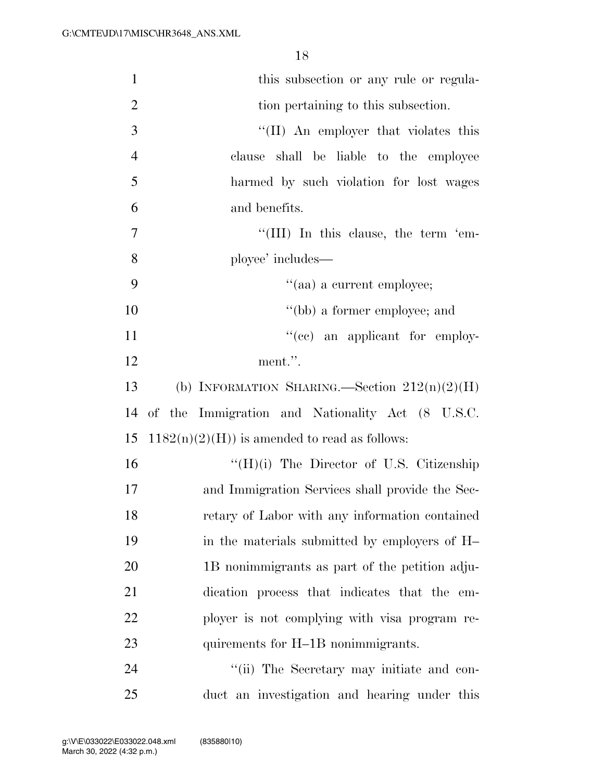| $\mathbf{1}$   | this subsection or any rule or regula-           |
|----------------|--------------------------------------------------|
| $\overline{2}$ | tion pertaining to this subsection.              |
| 3              | "(II) An employer that violates this             |
| $\overline{4}$ | clause shall be liable to the employee           |
| 5              | harmed by such violation for lost wages          |
| 6              | and benefits.                                    |
| $\tau$         | "(III) In this clause, the term 'em-             |
| 8              | ployee' includes—                                |
| 9              | "(aa) a current employee;                        |
| 10             | "(bb) a former employee; and                     |
| 11             | "(cc) an applicant for employ-                   |
| 12             | ment.".                                          |
| 13             | (b) INFORMATION SHARING.—Section $212(n)(2)(H)$  |
| 14             | of the Immigration and Nationality Act (8 U.S.C. |
| 15             | $1182(n)(2)(H)$ is amended to read as follows:   |
| 16             | "(H)(i) The Director of U.S. Citizenship         |
| 17             | and Immigration Services shall provide the Sec-  |
| 18             | retary of Labor with any information contained   |
| 19             | in the materials submitted by employers of H     |
| 20             | 1B nonimmigrants as part of the petition adju-   |
| 21             | dication process that indicates that the em-     |
| 22             | ployer is not complying with visa program re-    |
| 23             | quirements for H-1B nonimmigrants.               |
| 24             | "(ii) The Secretary may initiate and con-        |
| 25             | duct an investigation and hearing under this     |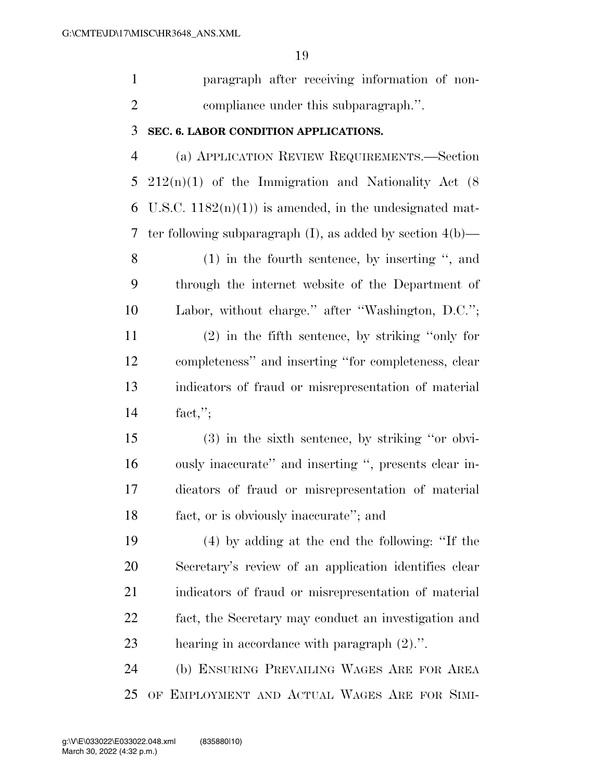paragraph after receiving information of non-compliance under this subparagraph.''.

#### **SEC. 6. LABOR CONDITION APPLICATIONS.**

 (a) APPLICATION REVIEW REQUIREMENTS.—Section 212(n)(1) of the Immigration and Nationality Act (8 6 U.S.C.  $1182(n)(1)$  is amended, in the undesignated mat-ter following subparagraph (I), as added by section 4(b)—

 (1) in the fourth sentence, by inserting '', and through the internet website of the Department of Labor, without charge.'' after ''Washington, D.C.''; (2) in the fifth sentence, by striking ''only for completeness'' and inserting ''for completeness, clear indicators of fraud or misrepresentation of material fact,'';

 (3) in the sixth sentence, by striking ''or obvi- ously inaccurate'' and inserting '', presents clear in- dicators of fraud or misrepresentation of material fact, or is obviously inaccurate''; and

 (4) by adding at the end the following: ''If the Secretary's review of an application identifies clear indicators of fraud or misrepresentation of material fact, the Secretary may conduct an investigation and hearing in accordance with paragraph (2).''.

 (b) ENSURING PREVAILING WAGES ARE FOR AREA OF EMPLOYMENT AND ACTUAL WAGES ARE FOR SIMI-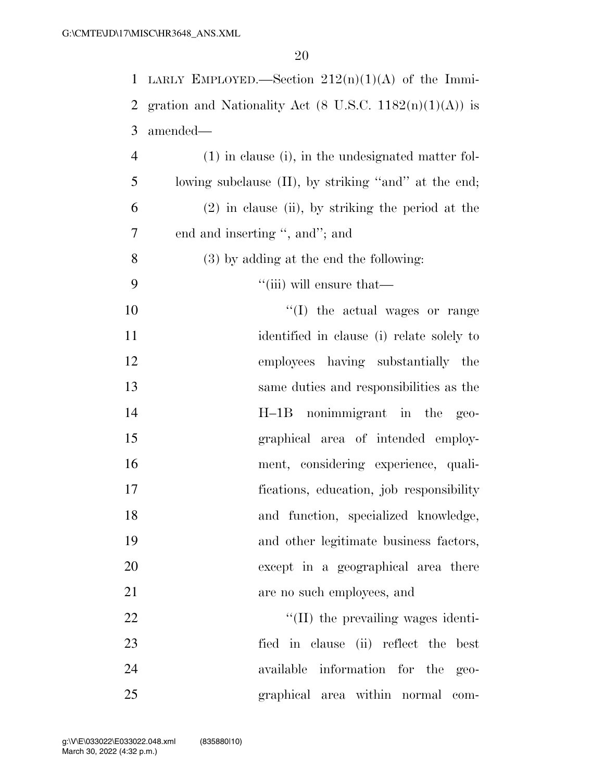|                | 1 LARLY EMPLOYED.—Section $212(n)(1)(A)$ of the Immi-                     |
|----------------|---------------------------------------------------------------------------|
| 2              | gration and Nationality Act $(8 \text{ U.S.C. } 1182(n)(1)(\text{A}))$ is |
| 3              | amended—                                                                  |
| $\overline{4}$ | $(1)$ in clause (i), in the undesignated matter fol-                      |
| 5              | lowing subclause (II), by striking "and" at the end;                      |
| 6              | $(2)$ in clause (ii), by striking the period at the                       |
| 7              | end and inserting ", and"; and                                            |
| 8              | $(3)$ by adding at the end the following:                                 |
| 9              | "(iii) will ensure that—                                                  |
| 10             | "(I) the actual wages or range                                            |
| 11             | identified in clause (i) relate solely to                                 |
| 12             | employees having substantially the                                        |
| 13             | same duties and responsibilities as the                                   |
| 14             | nonimmigrant in the<br>$H-1B$<br>$geo-$                                   |
| 15             | graphical area of intended employ-                                        |
| 16             | ment, considering experience, quali-                                      |
| 17             | fications, education, job responsibility                                  |
| 18             | and function, specialized knowledge,                                      |
| 19             | and other legitimate business factors,                                    |
| 20             | except in a geographical area there                                       |
| 21             | are no such employees, and                                                |
| 22             | $\lq\lq$ (II) the prevailing wages identi-                                |
| 23             | fied in clause (ii) reflect the<br>best                                   |
| 24             | available information for the<br>$geo-$                                   |
| 25             | graphical area within normal com-                                         |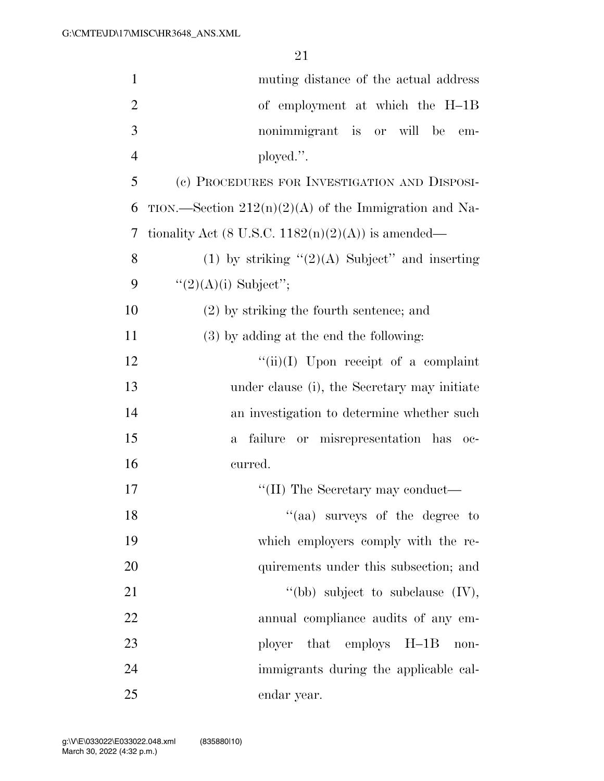| $\mathbf{1}$   | muting distance of the actual address                   |
|----------------|---------------------------------------------------------|
| $\overline{2}$ | of employment at which the H-1B                         |
| 3              | nonimmigrant is or will be<br>em-                       |
| $\overline{4}$ | ployed.".                                               |
| 5              | (c) PROCEDURES FOR INVESTIGATION AND DISPOSI-           |
| 6              | TION.—Section $212(n)(2)(A)$ of the Immigration and Na- |
| 7              | tionality Act (8 U.S.C. $1182(n)(2)(A)$ ) is amended—   |
| 8              | (1) by striking $\lq(2)(A)$ Subject" and inserting      |
| 9              | " $(2)(A)(i)$ Subject";                                 |
| 10             | $(2)$ by striking the fourth sentence; and              |
| 11             | (3) by adding at the end the following:                 |
| 12             | "(ii)(I) Upon receipt of a complaint                    |
| 13             | under clause (i), the Secretary may initiate            |
| 14             | an investigation to determine whether such              |
| 15             | failure or misrepresentation has oc-<br>a.              |
| 16             | curred.                                                 |
| 17             | "(II) The Secretary may conduct—                        |
| 18             | "(aa) surveys of the degree to                          |
| 19             | which employers comply with the re-                     |
| 20             | quirements under this subsection; and                   |
| 21             | "(bb) subject to subclause $(IV)$ ,                     |
| 22             | annual compliance audits of any em-                     |
| 23             | ployer<br>that employs<br>$H-1B$<br>non-                |
| 24             | immigrants during the applicable cal-                   |
| 25             | endar year.                                             |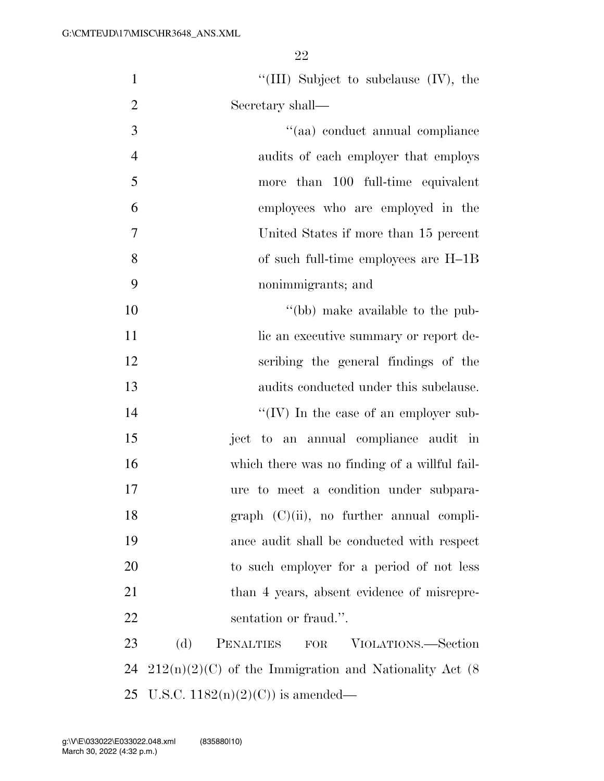| $\mathbf{1}$   | "(III) Subject to subclause $(V)$ , the                   |
|----------------|-----------------------------------------------------------|
| $\overline{2}$ | Secretary shall-                                          |
| 3              | "(aa) conduct annual compliance                           |
| $\overline{4}$ | audits of each employer that employs                      |
| 5              | more than 100 full-time equivalent                        |
| 6              | employees who are employed in the                         |
| $\overline{7}$ | United States if more than 15 percent                     |
| 8              | of such full-time employees are H-1B                      |
| 9              | nonimmigrants; and                                        |
| 10             | "(bb) make available to the pub-                          |
| 11             | lic an executive summary or report de-                    |
| 12             | scribing the general findings of the                      |
| 13             | audits conducted under this subclause.                    |
| 14             | "(IV) In the case of an employer sub-                     |
| 15             | ject to an annual compliance audit in                     |
| 16             | which there was no finding of a willful fail-             |
| 17             | ure to meet a condition under subpara-                    |
| 18             | $graph (C)(ii)$ , no further annual compli-               |
| 19             | ance audit shall be conducted with respect                |
| 20             | to such employer for a period of not less                 |
| 21             | than 4 years, absent evidence of misrepre-                |
| 22             | sentation or fraud.".                                     |
| 23             | (d)<br>PENALTIES<br>${\rm FOR}$<br>VIOLATIONS.—Section    |
| 24             | $212(n)(2)(C)$ of the Immigration and Nationality Act (8) |
| 25             | U.S.C. $1182(n)(2)(C)$ is amended—                        |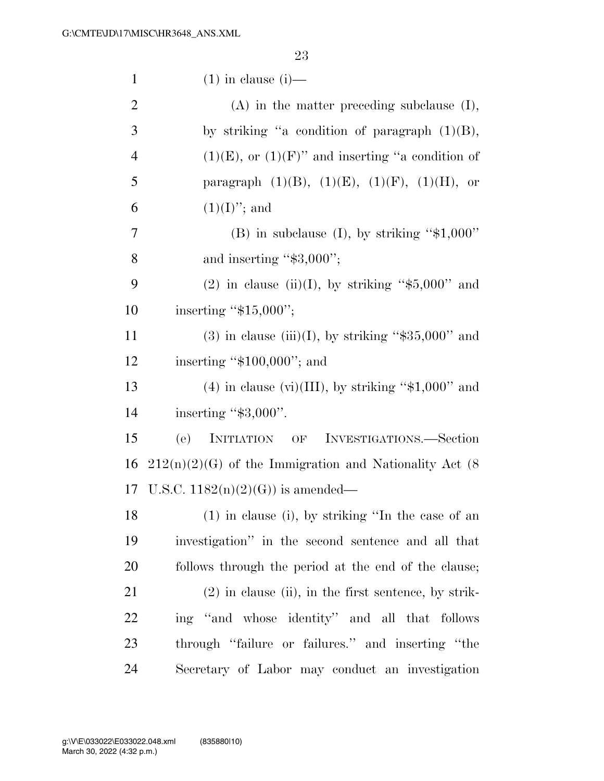| $\mathbf{1}$   | $(1)$ in clause $(i)$ —                                   |
|----------------|-----------------------------------------------------------|
| $\overline{2}$ | $(A)$ in the matter preceding subclause $(I)$ ,           |
| 3              | by striking "a condition of paragraph $(1)(B)$ ,          |
| $\overline{4}$ | $(1)(E)$ , or $(1)(F)$ " and inserting "a condition of    |
| 5              | paragraph $(1)(B)$ , $(1)(E)$ , $(1)(F)$ , $(1)(H)$ , or  |
| 6              | $(1)(I)$ ; and                                            |
| $\overline{7}$ | (B) in subclause (I), by striking " $$1,000"$             |
| 8              | and inserting "\$3,000";                                  |
| 9              | $(2)$ in clause (ii)(I), by striking "\$5,000" and        |
| 10             | inserting " $$15,000$ ";                                  |
| 11             | $(3)$ in clause (iii)(I), by striking "\$35,000" and      |
| 12             | inserting " $$100,000$ "; and                             |
| 13             | $(4)$ in clause (vi)(III), by striking "\$1,000" and      |
| 14             | inserting "\$3,000".                                      |
| 15             | (e)<br>INITIATION OF<br>INVESTIGATIONS.—Section           |
| 16             | $212(n)(2)(G)$ of the Immigration and Nationality Act (8) |
| 17             | U.S.C. $1182(n)(2)(G)$ is amended—                        |
| 18             | (1) in clause (i), by striking "In the case of an         |
| 19             | investigation" in the second sentence and all that        |
| 20             | follows through the period at the end of the clause;      |
| 21             | $(2)$ in clause (ii), in the first sentence, by strik-    |
| 22             | ing "and whose identity" and all that follows             |
| 23             | through "failure or failures." and inserting "the         |
| 24             | Secretary of Labor may conduct an investigation           |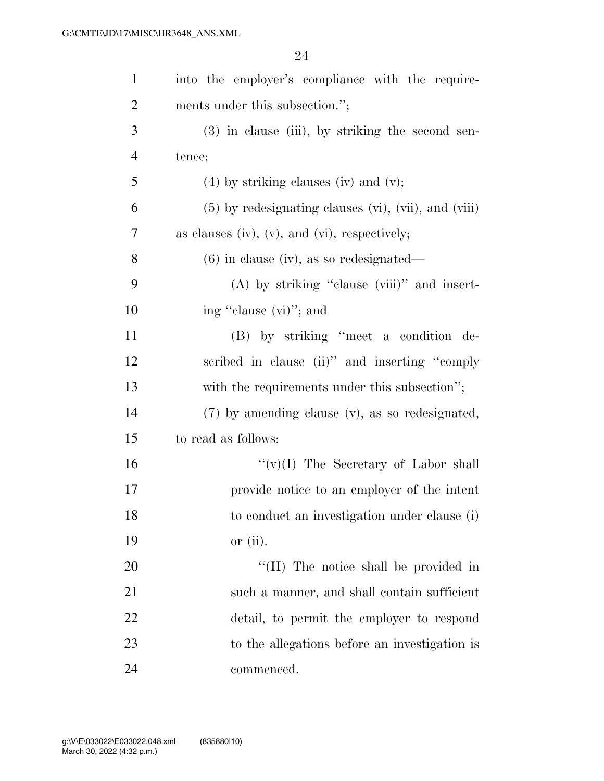| $\mathbf{1}$   | into the employer's compliance with the require-       |
|----------------|--------------------------------------------------------|
| $\overline{2}$ | ments under this subsection.";                         |
| 3              | $(3)$ in clause (iii), by striking the second sen-     |
| $\overline{4}$ | tence;                                                 |
| 5              | $(4)$ by striking clauses (iv) and (v);                |
| 6              | $(5)$ by redesignating clauses (vi), (vii), and (viii) |
| 7              | as clauses (iv), $(v)$ , and $(vi)$ , respectively;    |
| 8              | $(6)$ in clause (iv), as so redesignated—              |
| 9              | $(A)$ by striking "clause (viii)" and insert-          |
| 10             | ing "clause (vi)"; and                                 |
| <sup>11</sup>  | (B) by striking "meet a condition de-                  |
| 12             | scribed in clause (ii)" and inserting "comply          |
| 13             | with the requirements under this subsection";          |
| 14             | (7) by amending clause (v), as so redesignated,        |
| 15             | to read as follows:                                    |
| 16             | $``(v)(I)$ The Secretary of Labor shall                |
| 17             | provide notice to an employer of the intent            |
| 18             | to conduct an investigation under clause (i)           |
| 19             | or $(ii)$ .                                            |
| 20             | "(II) The notice shall be provided in                  |
| 21             | such a manner, and shall contain sufficient            |
| 22             | detail, to permit the employer to respond              |
| 23             | to the allegations before an investigation is          |
| 24             | commenced.                                             |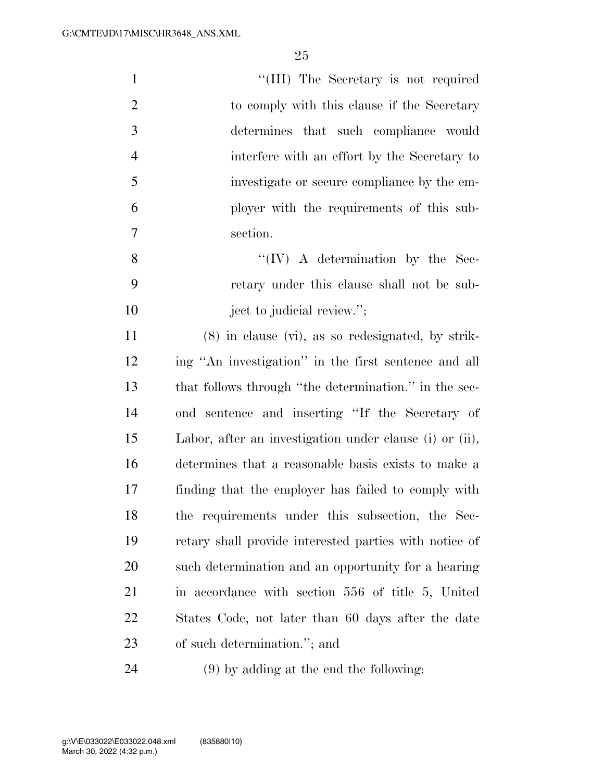| $\mathbf{1}$   | "(III) The Secretary is not required                    |
|----------------|---------------------------------------------------------|
| $\overline{2}$ | to comply with this clause if the Secretary             |
| 3              | determines that such compliance would                   |
| $\overline{4}$ | interfere with an effort by the Secretary to            |
| 5              | investigate or secure compliance by the em-             |
| 6              | ployer with the requirements of this sub-               |
| $\overline{7}$ | section.                                                |
| 8              | $\lq\lq (IV)$ A determination by the Sec-               |
| 9              | retary under this clause shall not be sub-              |
| 10             | ject to judicial review.";                              |
| 11             | $(8)$ in clause $(vi)$ , as so redesignated, by strik-  |
| 12             | ing "An investigation" in the first sentence and all    |
| 13             | that follows through "the determination." in the sec-   |
| 14             | ond sentence and inserting "If the Secretary of         |
| 15             | Labor, after an investigation under clause (i) or (ii), |
| 16             | determines that a reasonable basis exists to make a     |
| 17             | finding that the employer has failed to comply with     |
| 18             | the requirements under this subsection, the Sec-        |
| 19             | retary shall provide interested parties with notice of  |
| <b>20</b>      | such determination and an opportunity for a hearing     |
| 21             | in accordance with section 556 of title 5, United       |
| 22             | States Code, not later than 60 days after the date      |
| 23             | of such determination."; and                            |
|                |                                                         |

(9) by adding at the end the following: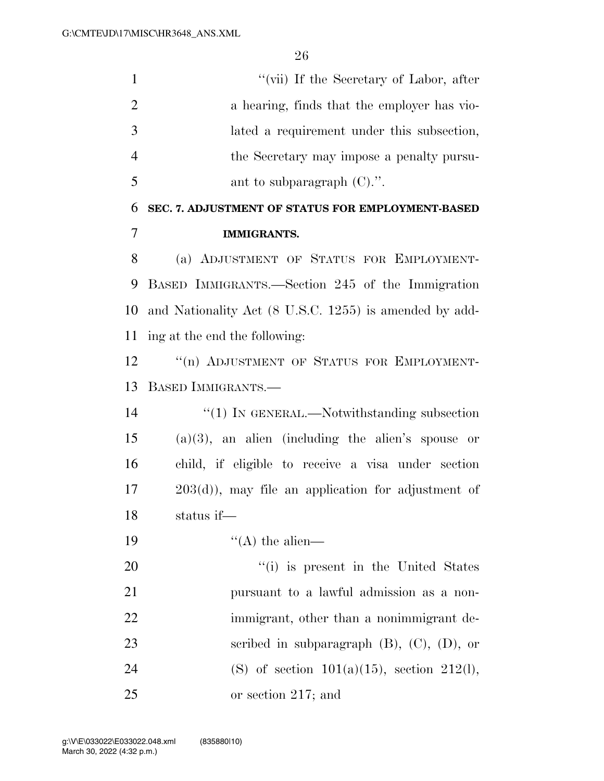1 ''(vii) If the Secretary of Labor, after 2 a hearing, finds that the employer has vio- lated a requirement under this subsection, the Secretary may impose a penalty pursu- $5 \tant{\text{ant to subparagn}}$  (C).". **SEC. 7. ADJUSTMENT OF STATUS FOR EMPLOYMENT-BASED IMMIGRANTS.**  (a) ADJUSTMENT OF STATUS FOR EMPLOYMENT- BASED IMMIGRANTS.—Section 245 of the Immigration and Nationality Act (8 U.S.C. 1255) is amended by add- ing at the end the following: 12 "(n) ADJUSTMENT OF STATUS FOR EMPLOYMENT- BASED IMMIGRANTS.—  $\frac{1}{2}$  (1) In GENERAL.—Notwithstanding subsection (a)(3), an alien (including the alien's spouse or child, if eligible to receive a visa under section 203(d)), may file an application for adjustment of status if—  $"({\rm A})$  the alien—  $\frac{1}{1}$  is present in the United States pursuant to a lawful admission as a non-22 immigrant, other than a nonimmigrant de- scribed in subparagraph (B), (C), (D), or 24 (S) of section  $101(a)(15)$ , section  $212(l)$ , or section 217; and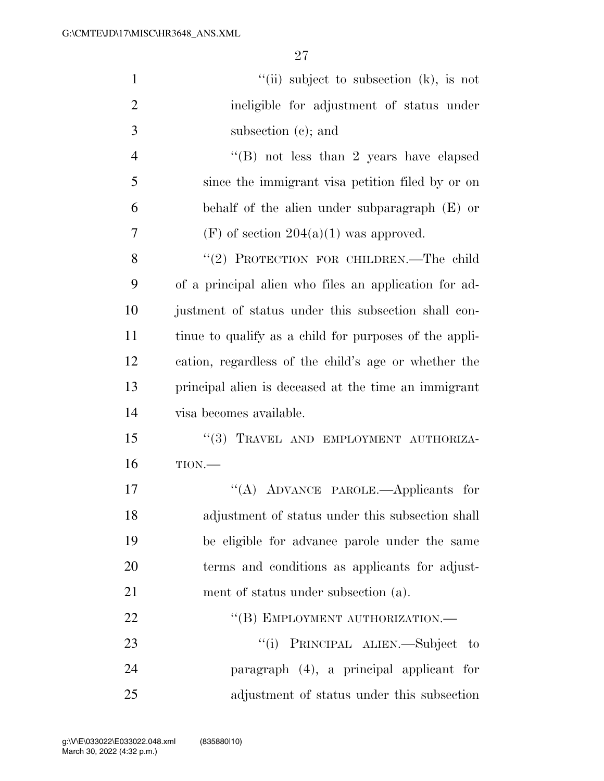| $\mathbf{1}$   | "(ii) subject to subsection $(k)$ , is not             |
|----------------|--------------------------------------------------------|
| $\overline{2}$ | ineligible for adjustment of status under              |
| 3              | subsection $(e)$ ; and                                 |
| $\overline{4}$ | $\cdot$ (B) not less than 2 years have elapsed         |
| 5              | since the immigrant visa petition filed by or on       |
| 6              | behalf of the alien under subparagraph (E) or          |
| 7              | $(F)$ of section $204(a)(1)$ was approved.             |
| 8              | "(2) PROTECTION FOR CHILDREN.—The child                |
| 9              | of a principal alien who files an application for ad-  |
| 10             | justment of status under this subsection shall con-    |
| 11             | tinue to qualify as a child for purposes of the appli- |
| 12             | cation, regardless of the child's age or whether the   |
| 13             | principal alien is deceased at the time an immigrant   |
| 14             | visa becomes available.                                |
| 15             | "(3) TRAVEL AND EMPLOYMENT AUTHORIZA-                  |
| 16             | TION.                                                  |
| 17             | "(A) ADVANCE PAROLE.—Applicants for                    |
| 18             | adjustment of status under this subsection shall       |
| 19             | be eligible for advance parole under the same          |
| 20             | terms and conditions as applicants for adjust-         |
| 21             | ment of status under subsection (a).                   |
| 22             | "(B) EMPLOYMENT AUTHORIZATION.-                        |
| 23             | "(i) PRINCIPAL ALIEN.—Subject to                       |
| 24             | paragraph (4), a principal applicant for               |
| 25             | adjustment of status under this subsection             |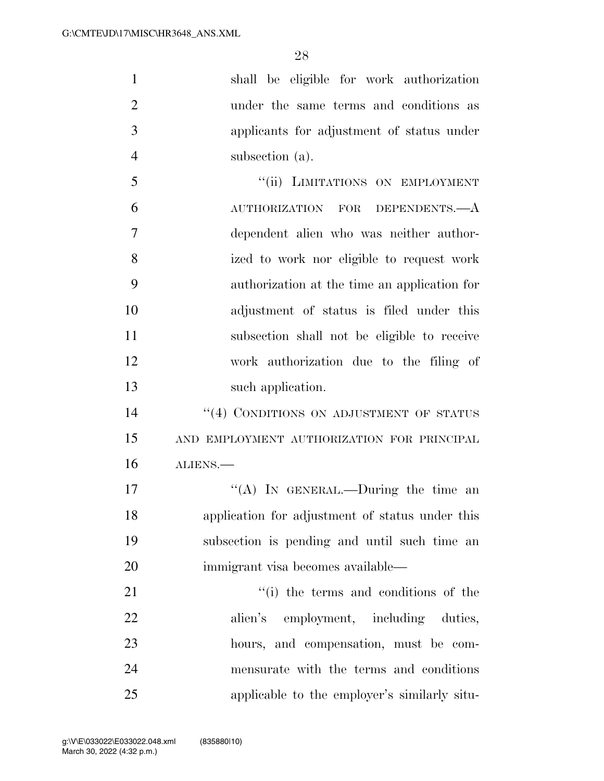| $\mathbf{1}$   | shall be eligible for work authorization        |
|----------------|-------------------------------------------------|
| $\overline{2}$ | under the same terms and conditions as          |
| 3              | applicants for adjustment of status under       |
| $\overline{4}$ | subsection (a).                                 |
| 5              | "(ii) LIMITATIONS ON EMPLOYMENT                 |
| 6              | AUTHORIZATION FOR DEPENDENTS.—A                 |
| $\overline{7}$ | dependent alien who was neither author-         |
| 8              | ized to work nor eligible to request work       |
| 9              | authorization at the time an application for    |
| 10             | adjustment of status is filed under this        |
| 11             | subsection shall not be eligible to receive     |
| 12             | work authorization due to the filing of         |
| 13             | such application.                               |
| 14             | "(4) CONDITIONS ON ADJUSTMENT OF STATUS         |
| 15             | AND EMPLOYMENT AUTHORIZATION FOR PRINCIPAL      |
| 16             | ALIENS.                                         |
| 17             | "(A) In GENERAL.—During the time an             |
| 18             | application for adjustment of status under this |
| 19             | subsection is pending and until such time an    |
| 20             | immigrant visa becomes available—               |
| 21             | "(i) the terms and conditions of the            |
| 22             | alien's employment, including duties,           |
| 23             | hours, and compensation, must be com-           |
| 24             | mensurate with the terms and conditions         |
| 25             | applicable to the employer's similarly situ-    |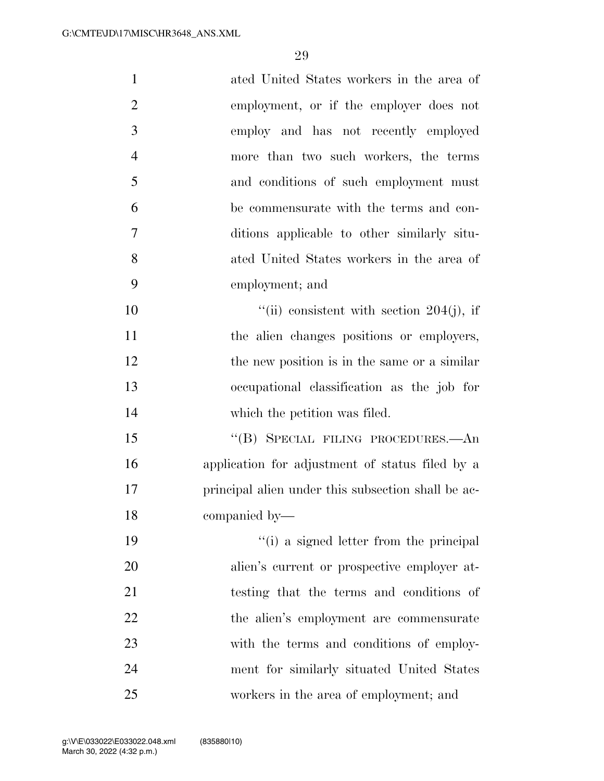| $\mathbf{1}$   | ated United States workers in the area of          |
|----------------|----------------------------------------------------|
| $\overline{2}$ | employment, or if the employer does not            |
| 3              | employ and has not recently employed               |
| $\overline{4}$ | more than two such workers, the terms              |
| 5              | and conditions of such employment must             |
| 6              | be commensurate with the terms and con-            |
| 7              | ditions applicable to other similarly situ-        |
| 8              | ated United States workers in the area of          |
| 9              | employment; and                                    |
| 10             | "(ii) consistent with section $204(j)$ , if        |
| 11             | the alien changes positions or employers,          |
| 12             | the new position is in the same or a similar       |
| 13             | occupational classification as the job for         |
| 14             | which the petition was filed.                      |
| 15             | "(B) SPECIAL FILING PROCEDURES.—An                 |
| 16             | application for adjustment of status filed by a    |
| 17             | principal alien under this subsection shall be ac- |
| 18             | companied by-                                      |
| 19             | "(i) a signed letter from the principal            |
| 20             | alien's current or prospective employer at-        |
| 21             | testing that the terms and conditions of           |
| 22             | the alien's employment are commensurate            |
| 23             | with the terms and conditions of employ-           |
| 24             | ment for similarly situated United States          |
| 25             | workers in the area of employment; and             |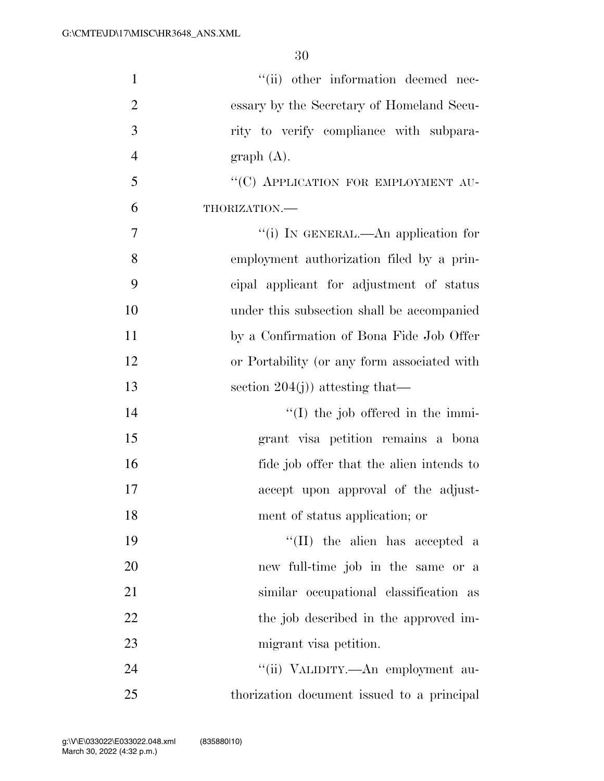| $\mathbf{1}$   | "(ii) other information deemed nec-         |
|----------------|---------------------------------------------|
| $\overline{2}$ | essary by the Secretary of Homeland Secu-   |
| 3              | rity to verify compliance with subpara-     |
| $\overline{4}$ | graph(A).                                   |
| 5              | "(C) APPLICATION FOR EMPLOYMENT AU-         |
| 6              | THORIZATION.                                |
| 7              | "(i) IN GENERAL.—An application for         |
| 8              | employment authorization filed by a prin-   |
| 9              | cipal applicant for adjustment of status    |
| 10             | under this subsection shall be accompanied  |
| 11             | by a Confirmation of Bona Fide Job Offer    |
| 12             | or Portability (or any form associated with |
| 13             | section $204(j)$ ) attesting that—          |
| 14             | $\lq (I)$ the job offered in the immi-      |
| 15             | grant visa petition remains a bona          |
| 16             | fide job offer that the alien intends to    |
| 17             | accept upon approval of the adjust-         |
| 18             | ment of status application; or              |
| 19             | "(II) the alien has accepted a              |
| 20             | new full-time job in the same or a          |
| 21             | similar occupational classification as      |
| 22             | the job described in the approved im-       |
| 23             | migrant visa petition.                      |
| 24             | "(ii) VALIDITY.—An employment au-           |
| 25             | thorization document issued to a principal  |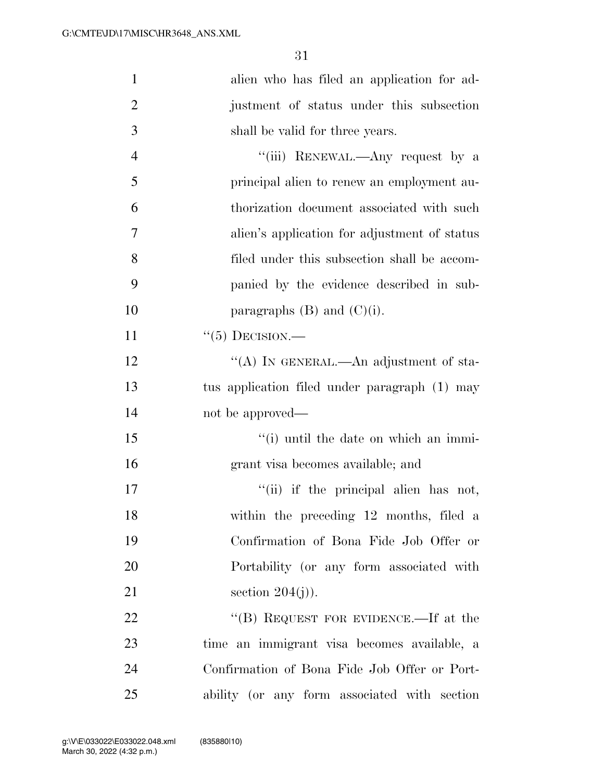| $\mathbf{1}$   | alien who has filed an application for ad-    |
|----------------|-----------------------------------------------|
| $\overline{2}$ | justment of status under this subsection      |
| 3              | shall be valid for three years.               |
| $\overline{4}$ | "(iii) RENEWAL.—Any request by a              |
| 5              | principal alien to renew an employment au-    |
| 6              | thorization document associated with such     |
| $\overline{7}$ | alien's application for adjustment of status  |
| 8              | filed under this subsection shall be accom-   |
| 9              | panied by the evidence described in sub-      |
| 10             | paragraphs $(B)$ and $(C)(i)$ .               |
| 11             | $``(5)$ DECISION.—                            |
| 12             | "(A) In GENERAL.—An adjustment of sta-        |
| 13             | tus application filed under paragraph (1) may |
| 14             | not be approved—                              |
| 15             | "(i) until the date on which an immi-         |
| 16             | grant visa becomes available; and             |
| 17             | "(ii) if the principal alien has not,         |
| 18             | within the preceding 12 months, filed a       |
| 19             | Confirmation of Bona Fide Job Offer or        |
| 20             | Portability (or any form associated with      |
| 21             | section $204(j)$ .                            |
| 22             | "(B) REQUEST FOR EVIDENCE.—If at the          |
| 23             | time an immigrant visa becomes available, a   |
| 24             | Confirmation of Bona Fide Job Offer or Port-  |
| 25             | ability (or any form associated with section  |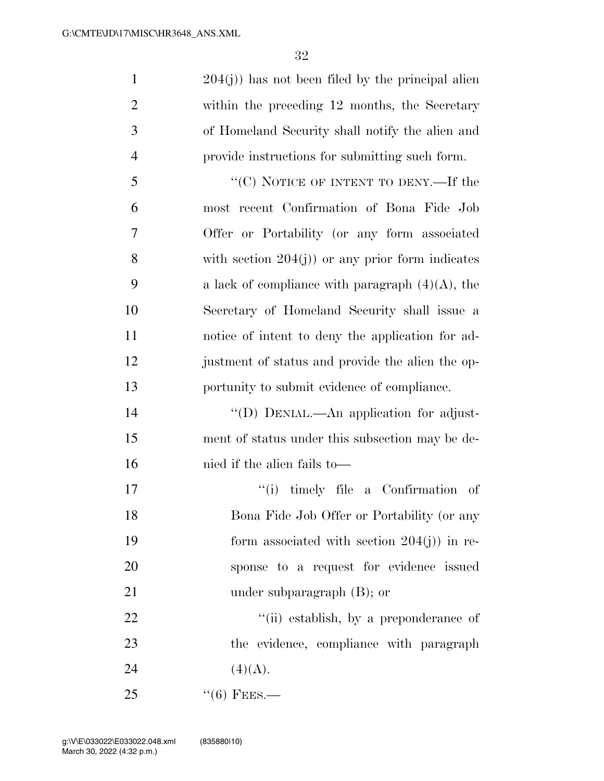204(j)) has not been filed by the principal alien within the preceding 12 months, the Secretary of Homeland Security shall notify the alien and provide instructions for submitting such form.

5 "'(C) NOTICE OF INTENT TO DENY.—If the most recent Confirmation of Bona Fide Job Offer or Portability (or any form associated with section 204(j)) or any prior form indicates 9 a lack of compliance with paragraph  $(4)(A)$ , the Secretary of Homeland Security shall issue a notice of intent to deny the application for ad- justment of status and provide the alien the op-portunity to submit evidence of compliance.

 ''(D) DENIAL.—An application for adjust- ment of status under this subsection may be de-nied if the alien fails to—

17  $\qquad$  ''(i) timely file a Confirmation of Bona Fide Job Offer or Portability (or any 19 form associated with section 204(j) in re- sponse to a request for evidence issued 21 under subparagraph (B); or

22  $\frac{1}{2}$   $\frac{1}{2}$   $\frac{1}{2}$   $\frac{1}{2}$  establish, by a preponderance of the evidence, compliance with paragraph 24 (4)(A).

 $^{(1)}$   $^{(6)}$  FEES.—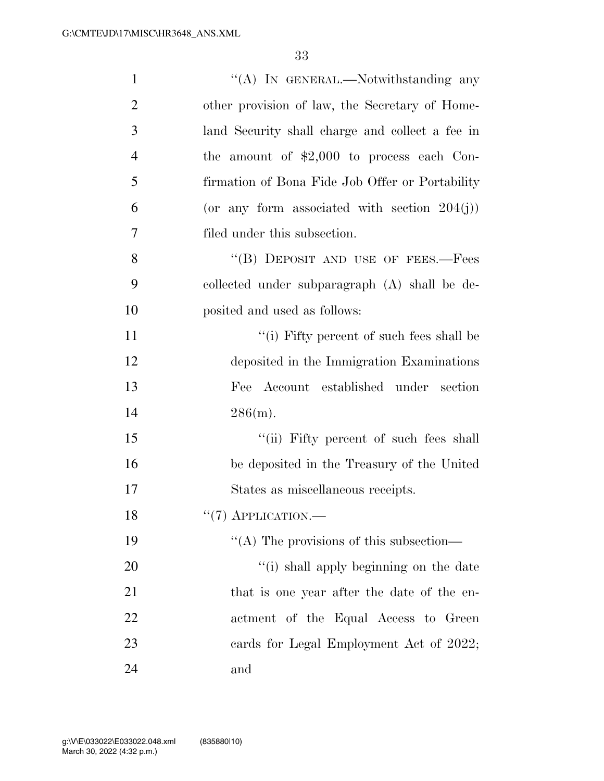| $\mathbf{1}$   | "(A) IN GENERAL.—Notwithstanding any            |
|----------------|-------------------------------------------------|
| $\overline{2}$ | other provision of law, the Secretary of Home-  |
| 3              | land Security shall charge and collect a fee in |
| $\overline{4}$ | the amount of $$2,000$ to process each Con-     |
| 5              | firmation of Bona Fide Job Offer or Portability |
| 6              | (or any form associated with section $204(j)$ ) |
| 7              | filed under this subsection.                    |
| 8              | "(B) DEPOSIT AND USE OF FEES.—Fees              |
| 9              | collected under subparagraph (A) shall be de-   |
| 10             | posited and used as follows:                    |
| 11             | "(i) Fifty percent of such fees shall be        |
| 12             | deposited in the Immigration Examinations       |
| 13             | Fee Account established under section           |
| 14             | 286(m).                                         |
| 15             | "(ii) Fifty percent of such fees shall          |
| 16             | be deposited in the Treasury of the United      |
| 17             | States as miscellaneous receipts.               |
| 18             | $``(7)$ APPLICATION.—                           |
| 19             | "(A) The provisions of this subsection—         |
| 20             | "(i) shall apply beginning on the date          |
| 21             | that is one year after the date of the en-      |
| 22             | actment of the Equal Access to Green            |
| 23             | cards for Legal Employment Act of 2022;         |
| 24             | and                                             |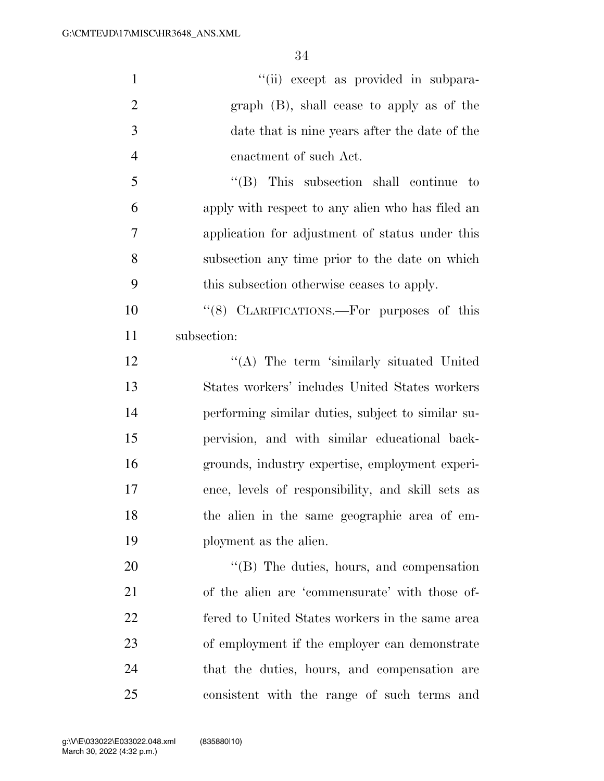| $\mathbf{1}$   | "(ii) except as provided in subpara-              |
|----------------|---------------------------------------------------|
| $\overline{2}$ | $graph$ (B), shall cease to apply as of the       |
| 3              | date that is nine years after the date of the     |
| $\overline{4}$ | enactment of such Act.                            |
| 5              | $\lq\lq$ (B) This subsection shall continue to    |
| 6              | apply with respect to any alien who has filed an  |
| 7              | application for adjustment of status under this   |
| 8              | subsection any time prior to the date on which    |
| 9              | this subsection otherwise ceases to apply.        |
| 10             | "(8) CLARIFICATIONS.—For purposes of this         |
| 11             | subsection:                                       |
| 12             | "(A) The term 'similarly situated United          |
| 13             | States workers' includes United States workers    |
| 14             | performing similar duties, subject to similar su- |
| 15             | pervision, and with similar educational back-     |
| 16             | grounds, industry expertise, employment experi-   |
| 17             | ence, levels of responsibility, and skill sets as |
| 18             | the alien in the same geographic area of em-      |
| 19             | ployment as the alien.                            |
| 20             | $\lq\lq$ (B) The duties, hours, and compensation  |
| 21             | of the alien are 'commensurate' with those of-    |
| 22             | fered to United States workers in the same area   |
| 23             | of employment if the employer can demonstrate     |
| 24             | that the duties, hours, and compensation are      |
| 25             | consistent with the range of such terms and       |